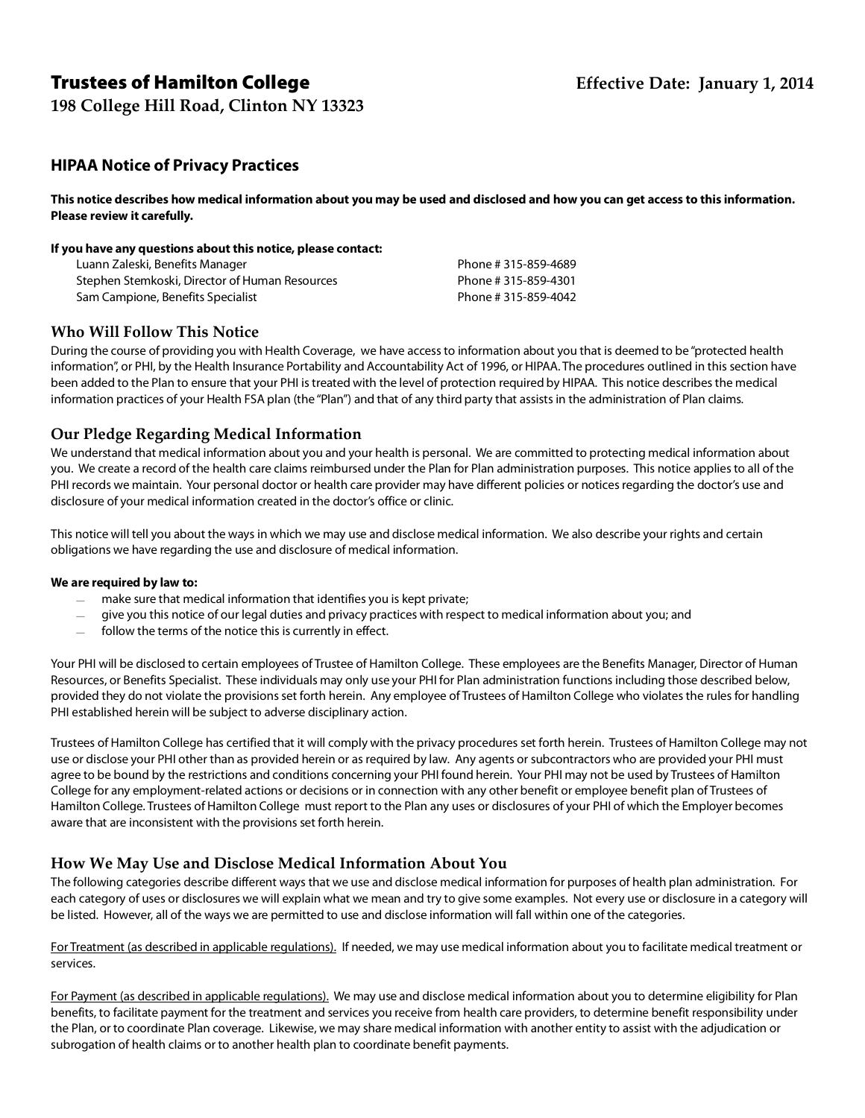# Trustees of Hamilton College **Effective Date: January 1, 2014**

**198 College Hill Road, Clinton NY 13323**

## **HIPAA Notice of Privacy Practices**

**This notice describes how medical information about you may be used and disclosed and how you can get access to this information. Please review it carefully.** 

#### **If you have any questions about this notice, please contact:**

| Luann Zaleski, Benefits Manager                | Phone #315-859-4689 |
|------------------------------------------------|---------------------|
| Stephen Stemkoski, Director of Human Resources | Phone #315-859-4301 |
| Sam Campione, Benefits Specialist              | Phone #315-859-4042 |

#### **Who Will Follow This Notice**

During the course of providing you with Health Coverage, we have access to information about you that is deemed to be "protected health information", or PHI, by the Health Insurance Portability and Accountability Act of 1996, or HIPAA. The procedures outlined in this section have been added to the Plan to ensure that your PHI is treated with the level of protection required by HIPAA. This notice describes the medical information practices of your Health FSA plan (the "Plan") and that of any third party that assists in the administration of Plan claims.

#### **Our Pledge Regarding Medical Information**

We understand that medical information about you and your health is personal. We are committed to protecting medical information about you. We create a record of the health care claims reimbursed under the Plan for Plan administration purposes. This notice applies to all of the PHI records we maintain. Your personal doctor or health care provider may have different policies or notices regarding the doctor's use and disclosure of your medical information created in the doctor's office or clinic.

This notice will tell you about the ways in which we may use and disclose medical information. We also describe your rights and certain obligations we have regarding the use and disclosure of medical information.

#### **We are required by law to:**

- make sure that medical information that identifies you is kept private;
- give you this notice of our legal duties and privacy practices with respect to medical information about you; and
- follow the terms of the notice this is currently in effect.

Your PHI will be disclosed to certain employees of Trustee of Hamilton College. These employees are the Benefits Manager, Director of Human Resources, or Benefits Specialist. These individuals may only use your PHI for Plan administration functions including those described below, provided they do not violate the provisions set forth herein. Any employee of Trustees of Hamilton College who violates the rules for handling PHI established herein will be subject to adverse disciplinary action.

Trustees of Hamilton College has certified that it will comply with the privacy procedures set forth herein. Trustees of Hamilton College may not use or disclose your PHI other than as provided herein or as required by law. Any agents or subcontractors who are provided your PHI must agree to be bound by the restrictions and conditions concerning your PHI found herein. Your PHI may not be used by Trustees of Hamilton College for any employment-related actions or decisions or in connection with any other benefit or employee benefit plan of Trustees of Hamilton College. Trustees of Hamilton College must report to the Plan any uses or disclosures of your PHI of which the Employer becomes aware that are inconsistent with the provisions set forth herein.

#### **How We May Use and Disclose Medical Information About You**

The following categories describe different ways that we use and disclose medical information for purposes of health plan administration. For each category of uses or disclosures we will explain what we mean and try to give some examples. Not every use or disclosure in a category will be listed. However, all of the ways we are permitted to use and disclose information will fall within one of the categories.

For Treatment (as described in applicable regulations). If needed, we may use medical information about you to facilitate medical treatment or services.

For Payment (as described in applicable regulations). We may use and disclose medical information about you to determine eligibility for Plan benefits, to facilitate payment for the treatment and services you receive from health care providers, to determine benefit responsibility under the Plan, or to coordinate Plan coverage. Likewise, we may share medical information with another entity to assist with the adjudication or subrogation of health claims or to another health plan to coordinate benefit payments.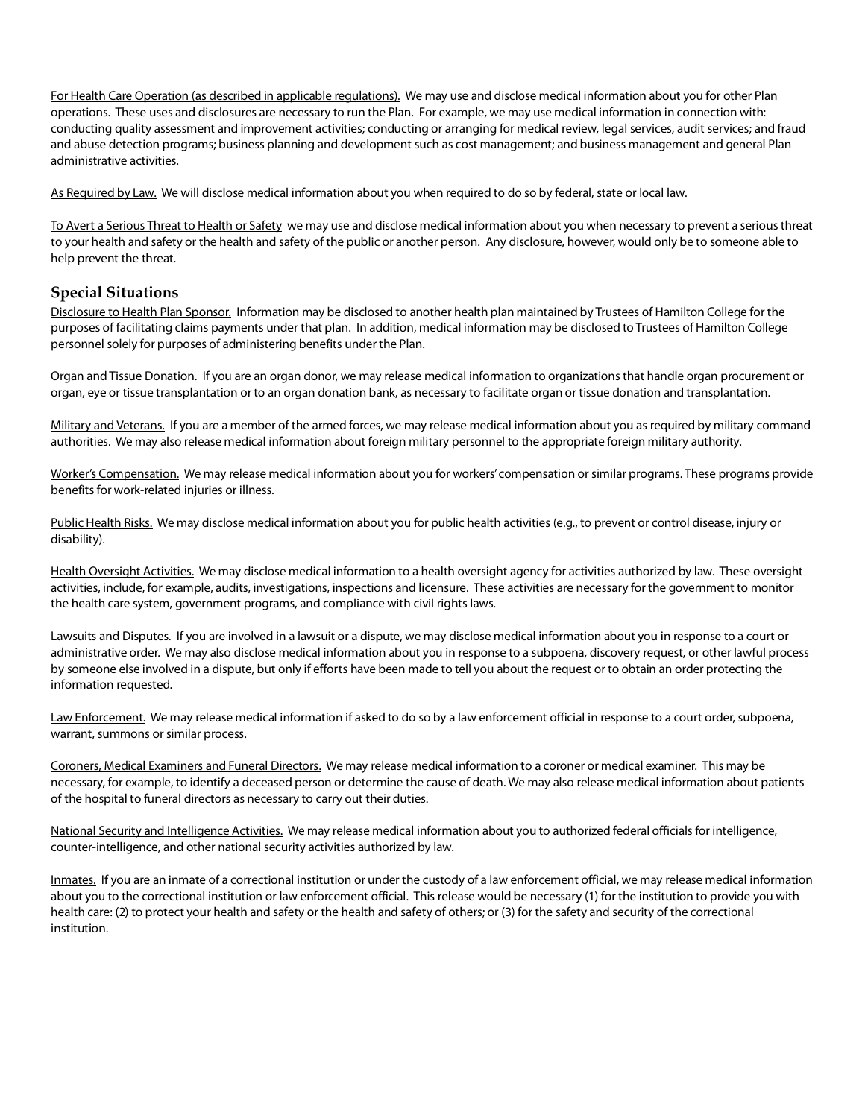For Health Care Operation (as described in applicable regulations). We may use and disclose medical information about you for other Plan operations. These uses and disclosures are necessary to run the Plan. For example, we may use medical information in connection with: conducting quality assessment and improvement activities; conducting or arranging for medical review, legal services, audit services; and fraud and abuse detection programs; business planning and development such as cost management; and business management and general Plan administrative activities.

As Required by Law. We will disclose medical information about you when required to do so by federal, state or local law.

To Avert a Serious Threat to Health or Safety we may use and disclose medical information about you when necessary to prevent a serious threat to your health and safety or the health and safety of the public or another person. Any disclosure, however, would only be to someone able to help prevent the threat.

#### **Special Situations**

Disclosure to Health Plan Sponsor. Information may be disclosed to another health plan maintained by Trustees of Hamilton College for the purposes of facilitating claims payments under that plan. In addition, medical information may be disclosed to Trustees of Hamilton College personnel solely for purposes of administering benefits under the Plan.

Organ and Tissue Donation. If you are an organ donor, we may release medical information to organizations that handle organ procurement or organ, eye or tissue transplantation or to an organ donation bank, as necessary to facilitate organ or tissue donation and transplantation.

Military and Veterans. If you are a member of the armed forces, we may release medical information about you as required by military command authorities. We may also release medical information about foreign military personnel to the appropriate foreign military authority.

Worker's Compensation. We may release medical information about you for workers' compensation or similar programs. These programs provide benefits for work-related injuries or illness.

Public Health Risks. We may disclose medical information about you for public health activities (e.g., to prevent or control disease, injury or disability).

Health Oversight Activities. We may disclose medical information to a health oversight agency for activities authorized by law. These oversight activities, include, for example, audits, investigations, inspections and licensure. These activities are necessary for the government to monitor the health care system, government programs, and compliance with civil rights laws.

Lawsuits and Disputes. If you are involved in a lawsuit or a dispute, we may disclose medical information about you in response to a court or administrative order. We may also disclose medical information about you in response to a subpoena, discovery request, or other lawful process by someone else involved in a dispute, but only if efforts have been made to tell you about the request or to obtain an order protecting the information requested.

Law Enforcement. We may release medical information if asked to do so by a law enforcement official in response to a court order, subpoena, warrant, summons or similar process.

Coroners, Medical Examiners and Funeral Directors. We may release medical information to a coroner or medical examiner. This may be necessary, for example, to identify a deceased person or determine the cause of death. We may also release medical information about patients of the hospital to funeral directors as necessary to carry out their duties.

National Security and Intelligence Activities. We may release medical information about you to authorized federal officials for intelligence, counter-intelligence, and other national security activities authorized by law.

Inmates. If you are an inmate of a correctional institution or under the custody of a law enforcement official, we may release medical information about you to the correctional institution or law enforcement official. This release would be necessary (1) for the institution to provide you with health care: (2) to protect your health and safety or the health and safety of others; or (3) for the safety and security of the correctional institution.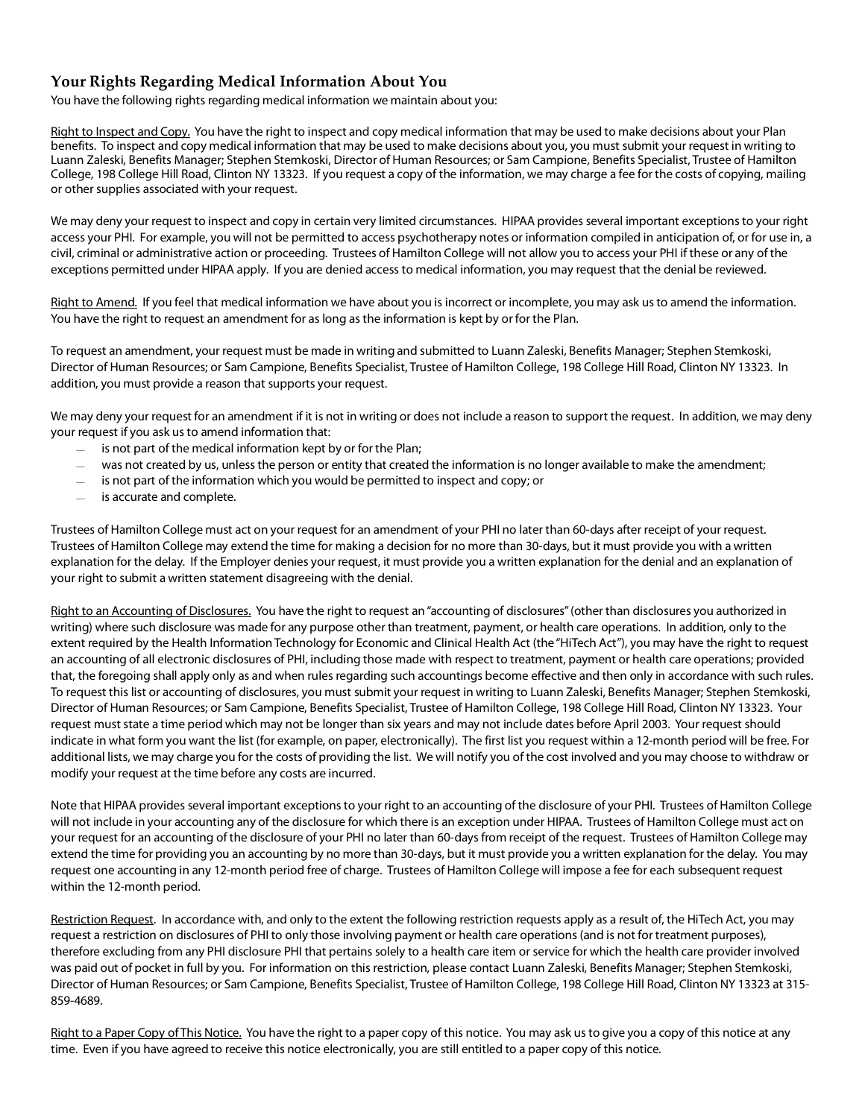## **Your Rights Regarding Medical Information About You**

You have the following rights regarding medical information we maintain about you:

Right to Inspect and Copy. You have the right to inspect and copy medical information that may be used to make decisions about your Plan benefits. To inspect and copy medical information that may be used to make decisions about you, you must submit your request in writing to Luann Zaleski, Benefits Manager; Stephen Stemkoski, Director of Human Resources; or Sam Campione, Benefits Specialist, Trustee of Hamilton College, 198 College Hill Road, Clinton NY 13323. If you request a copy of the information, we may charge a fee for the costs of copying, mailing or other supplies associated with your request.

We may deny your request to inspect and copy in certain very limited circumstances. HIPAA provides several important exceptions to your right access your PHI. For example, you will not be permitted to access psychotherapy notes or information compiled in anticipation of, or for use in, a civil, criminal or administrative action or proceeding. Trustees of Hamilton College will not allow you to access your PHI if these or any of the exceptions permitted under HIPAA apply. If you are denied access to medical information, you may request that the denial be reviewed.

Right to Amend. If you feel that medical information we have about you is incorrect or incomplete, you may ask us to amend the information. You have the right to request an amendment for as long as the information is kept by or for the Plan.

To request an amendment, your request must be made in writing and submitted to Luann Zaleski, Benefits Manager; Stephen Stemkoski, Director of Human Resources; or Sam Campione, Benefits Specialist, Trustee of Hamilton College, 198 College Hill Road, Clinton NY 13323. In addition, you must provide a reason that supports your request.

We may deny your request for an amendment if it is not in writing or does not include a reason to support the request. In addition, we may deny your request if you ask us to amend information that:

- $-$  is not part of the medical information kept by or for the Plan;
- was not created by us, unless the person or entity that created the information is no longer available to make the amendment;
- is not part of the information which you would be permitted to inspect and copy; or
- is accurate and complete.

Trustees of Hamilton College must act on your request for an amendment of your PHI no later than 60-days after receipt of your request. Trustees of Hamilton College may extend the time for making a decision for no more than 30-days, but it must provide you with a written explanation for the delay. If the Employer denies your request, it must provide you a written explanation for the denial and an explanation of your right to submit a written statement disagreeing with the denial.

Right to an Accounting of Disclosures. You have the right to request an "accounting of disclosures" (other than disclosures you authorized in writing) where such disclosure was made for any purpose other than treatment, payment, or health care operations. In addition, only to the extent required by the Health Information Technology for Economic and Clinical Health Act (the "HiTech Act"), you may have the right to request an accounting of all electronic disclosures of PHI, including those made with respect to treatment, payment or health care operations; provided that, the foregoing shall apply only as and when rules regarding such accountings become effective and then only in accordance with such rules. To request this list or accounting of disclosures, you must submit your request in writing to Luann Zaleski, Benefits Manager; Stephen Stemkoski, Director of Human Resources; or Sam Campione, Benefits Specialist, Trustee of Hamilton College, 198 College Hill Road, Clinton NY 13323. Your request must state a time period which may not be longer than six years and may not include dates before April 2003. Your request should indicate in what form you want the list (for example, on paper, electronically). The first list you request within a 12-month period will be free. For additional lists, we may charge you for the costs of providing the list. We will notify you of the cost involved and you may choose to withdraw or modify your request at the time before any costs are incurred.

Note that HIPAA provides several important exceptions to your right to an accounting of the disclosure of your PHI. Trustees of Hamilton College will not include in your accounting any of the disclosure for which there is an exception under HIPAA. Trustees of Hamilton College must act on your request for an accounting of the disclosure of your PHI no later than 60-days from receipt of the request. Trustees of Hamilton College may extend the time for providing you an accounting by no more than 30-days, but it must provide you a written explanation for the delay. You may request one accounting in any 12-month period free of charge. Trustees of Hamilton College will impose a fee for each subsequent request within the 12-month period.

Restriction Request. In accordance with, and only to the extent the following restriction requests apply as a result of, the HiTech Act, you may request a restriction on disclosures of PHI to only those involving payment or health care operations (and is not for treatment purposes), therefore excluding from any PHI disclosure PHI that pertains solely to a health care item or service for which the health care provider involved was paid out of pocket in full by you. For information on this restriction, please contact Luann Zaleski, Benefits Manager; Stephen Stemkoski, Director of Human Resources; or Sam Campione, Benefits Specialist, Trustee of Hamilton College, 198 College Hill Road, Clinton NY 13323 at 315- 859-4689.

Right to a Paper Copy of This Notice. You have the right to a paper copy of this notice. You may ask us to give you a copy of this notice at any time. Even if you have agreed to receive this notice electronically, you are still entitled to a paper copy of this notice.